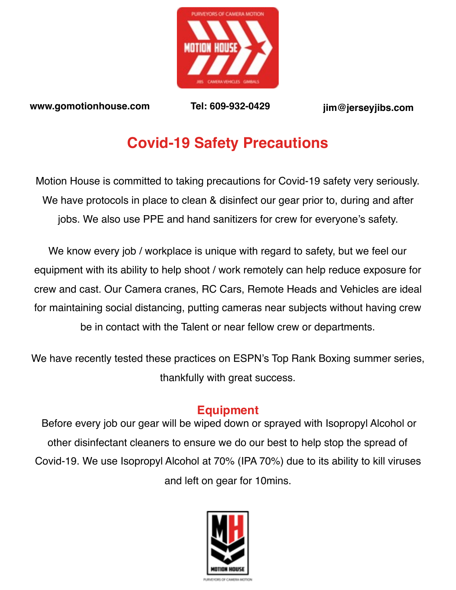

**[www.gomotionhouse.com](http://www.gomotionhouse.com) Tel: 609-932-0429 [jim@jerseyjibs.com](mailto:jim@jerseyjibs.com)**

# **Covid-19 Safety Precautions**

Motion House is committed to taking precautions for Covid-19 safety very seriously. We have protocols in place to clean & disinfect our gear prior to, during and after jobs. We also use PPE and hand sanitizers for crew for everyone's safety.

We know every job / workplace is unique with regard to safety, but we feel our equipment with its ability to help shoot / work remotely can help reduce exposure for crew and cast. Our Camera cranes, RC Cars, Remote Heads and Vehicles are ideal for maintaining social distancing, putting cameras near subjects without having crew be in contact with the Talent or near fellow crew or departments.

We have recently tested these practices on ESPN's Top Rank Boxing summer series, thankfully with great success.

## **Equipment**

 Before every job our gear will be wiped down or sprayed with Isopropyl Alcohol or other disinfectant cleaners to ensure we do our best to help stop the spread of Covid-19. We use Isopropyl Alcohol at 70% (IPA 70%) due to its ability to kill viruses and left on gear for 10mins.

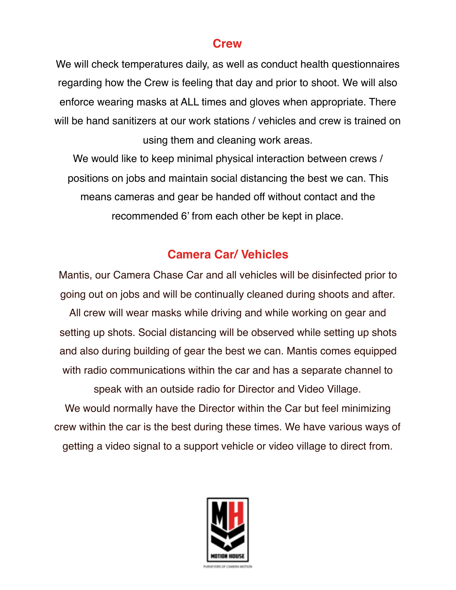#### **Crew**

We will check temperatures daily, as well as conduct health questionnaires regarding how the Crew is feeling that day and prior to shoot. We will also enforce wearing masks at ALL times and gloves when appropriate. There will be hand sanitizers at our work stations / vehicles and crew is trained on using them and cleaning work areas.

We would like to keep minimal physical interaction between crews / positions on jobs and maintain social distancing the best we can. This means cameras and gear be handed off without contact and the recommended 6' from each other be kept in place.

#### **Camera Car/ Vehicles**

Mantis, our Camera Chase Car and all vehicles will be disinfected prior to going out on jobs and will be continually cleaned during shoots and after.

All crew will wear masks while driving and while working on gear and setting up shots. Social distancing will be observed while setting up shots and also during building of gear the best we can. Mantis comes equipped with radio communications within the car and has a separate channel to

We would normally have the Director within the Car but feel minimizing crew within the car is the best during these times. We have various ways of getting a video signal to a support vehicle or video village to direct from.

speak with an outside radio for Director and Video Village.